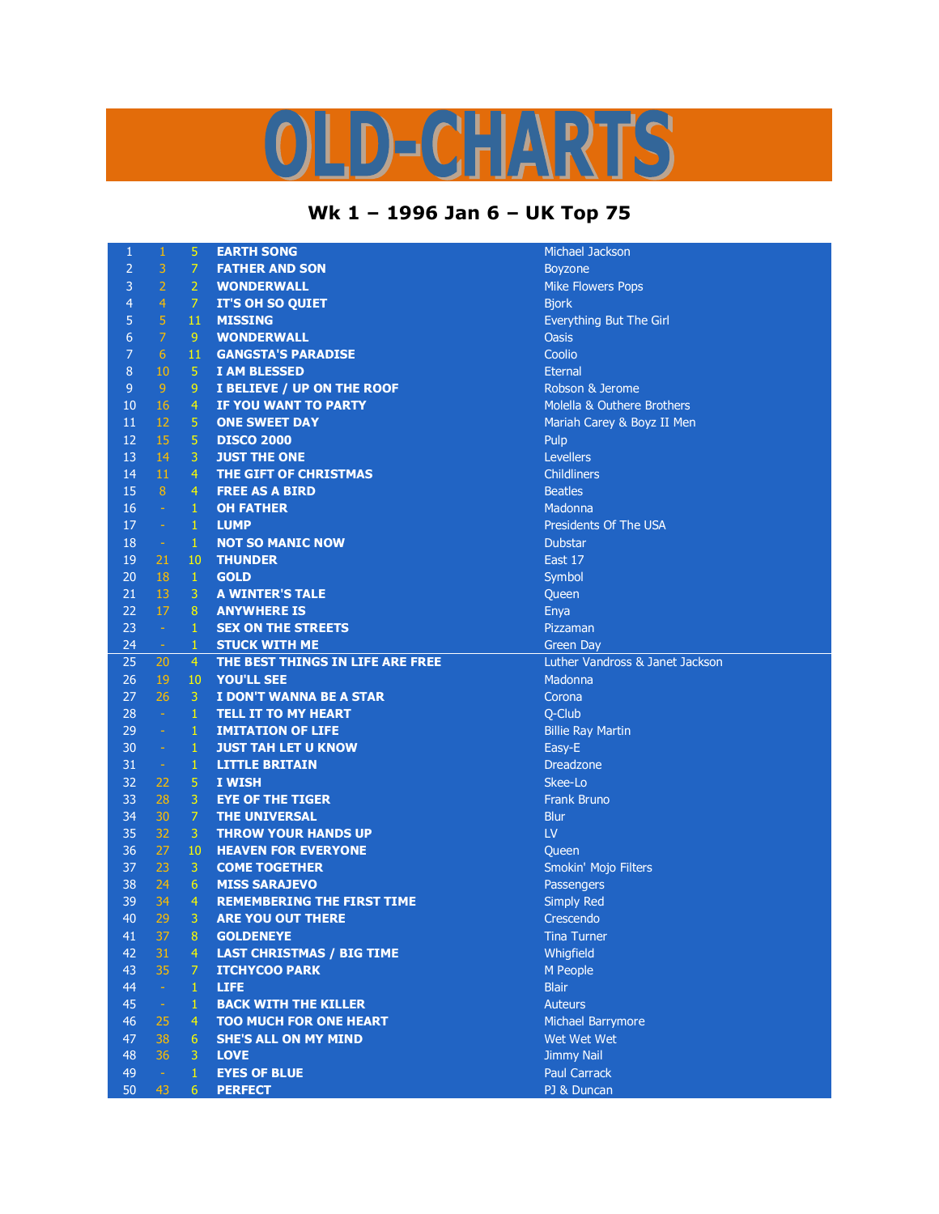## OLD-CHARTS

## **Wk 1 – 1996 Jan 6 – UK Top 75**

| $\mathbf{1}$     | $\mathbf{1}$   | 5              | <b>EARTH SONG</b>                 | Michael J           |
|------------------|----------------|----------------|-----------------------------------|---------------------|
| $\overline{2}$   | 3              | $\overline{7}$ | <b>FATHER AND SON</b>             | <b>Boyzone</b>      |
| 3                | $\overline{2}$ | $\overline{2}$ | <b>WONDERWALL</b>                 | <b>Mike Flov</b>    |
| $\overline{4}$   | $\overline{4}$ | $\overline{7}$ | <b>IT'S OH SO QUIET</b>           | <b>Bjork</b>        |
| 5                | 5              | 11             | <b>MISSING</b>                    | Everythin           |
| $\boldsymbol{6}$ | $\overline{7}$ | 9              | <b>WONDERWALL</b>                 | <b>Oasis</b>        |
| $\overline{7}$   | 6              | 11             | <b>GANGSTA'S PARADISE</b>         | Coolio              |
| $\,8\,$          | 10             | 5              | <b>I AM BLESSED</b>               | Eternal             |
| 9                | 9              | 9              | I BELIEVE / UP ON THE ROOF        | Robson 8            |
| 10               | 16             | $\overline{4}$ | <b>IF YOU WANT TO PARTY</b>       | Molella &           |
| 11               | 12             | 5              | <b>ONE SWEET DAY</b>              | Mariah C            |
| 12               | 15             | 5              | <b>DISCO 2000</b>                 | Pulp                |
| 13               | 14             | 3              | <b>JUST THE ONE</b>               | <b>Levellers</b>    |
| 14               | 11             | $\overline{4}$ | THE GIFT OF CHRISTMAS             | Childliner          |
| 15               | 8              | $\overline{4}$ | <b>FREE AS A BIRD</b>             | <b>Beatles</b>      |
| 16               | $\Box$         | 1              | <b>OH FATHER</b>                  | Madonna             |
| 17               | $\omega$       | 1              | <b>LUMP</b>                       | President           |
| 18               | $\omega$       | $\mathbf{1}$   | <b>NOT SO MANIC NOW</b>           | <b>Dubstar</b>      |
| 19               | 21             | 10             | <b>THUNDER</b>                    | East 17             |
| 20               | 18             | $\mathbf{1}$   | <b>GOLD</b>                       | Symbol              |
| 21               | 13             | 3              | <b>A WINTER'S TALE</b>            | Queen               |
| 22               | 17             | 8              | <b>ANYWHERE IS</b>                | Enya                |
| 23               | $\sim$         | $\mathbf{1}$   | <b>SEX ON THE STREETS</b>         | Pizzaman            |
| 24               | $\omega$       | 1              | <b>STUCK WITH ME</b>              | <b>Green Da</b>     |
| 25               | 20             | 4              | THE BEST THINGS IN LIFE ARE FREE  | <b>Luther Va</b>    |
| 26               | 19             | 10             | <b>YOU'LL SEE</b>                 | Madonna             |
| 27               | 26             | 3              | I DON'T WANNA BE A STAR           | Corona              |
| 28               | $\omega$       | $\mathbf{1}$   | <b>TELL IT TO MY HEART</b>        | Q-Club              |
| 29               | $\blacksquare$ | $\mathbf{1}$   | <b>IMITATION OF LIFE</b>          | <b>Billie Ray</b>   |
| 30               | ÷              | $\mathbf{1}$   | <b>JUST TAH LET U KNOW</b>        | Easy-E              |
| 31               | $\omega$       | $\mathbf{1}$   | <b>LITTLE BRITAIN</b>             | <b>Dreadzor</b>     |
| 32               | 22             | 5              | I WISH                            | Skee-Lo             |
| 33               | 28             | 3              | <b>EYE OF THE TIGER</b>           | <b>Frank Bru</b>    |
| 34               | 30             | $\overline{7}$ | <b>THE UNIVERSAL</b>              | <b>Blur</b>         |
| 35               | 32             | 3              | <b>THROW YOUR HANDS UP</b>        | LV                  |
| 36               | 27             | 10             | <b>HEAVEN FOR EVERYONE</b>        | Queen               |
| 37               | 23             | 3              | <b>COME TOGETHER</b>              | Smokin' I           |
| 38               | 24             | 6              | <b>MISS SARAJEVO</b>              | Passenge            |
| 39               | 34             | $\overline{4}$ | <b>REMEMBERING THE FIRST TIME</b> | Simply Re           |
| 40               | 29             | 3              | <b>ARE YOU OUT THERE</b>          | Crescend            |
| 41               | 37.            | 8              | <b>GOLDENEYE</b>                  | Tina Turr           |
| 42               | 31             | 4 <sup>1</sup> | <b>LAST CHRISTMAS / BIG TIME</b>  | Whigfield           |
| 43               | 35             | $\mathcal{I}$  | <b>ITCHYCOO PARK</b>              | M People            |
| 44               | $\sim$         | $\mathbf{1}$   | <b>LIFE</b>                       | <b>Blair</b>        |
| 45               | $\rightarrow$  | $\mathbf{1}$   | <b>BACK WITH THE KILLER</b>       | <b>Auteurs</b>      |
| 46               | 25             | 4              | <b>TOO MUCH FOR ONE HEART</b>     | Michael E           |
| 47               | 38             | 6              | <b>SHE'S ALL ON MY MIND</b>       | Wet Wet             |
| 48               | 36             | 3.             | <b>LOVE</b>                       | <b>Jimmy Na</b>     |
| 49               | $\sim$         | $\mathbf{1}$   | <b>EYES OF BLUE</b>               | Paul Carr           |
| 50               | 43             | 6 <sup>1</sup> | <b>PFRFFCT</b>                    | <b>P1 &amp; Dun</b> |

**Michael Jackson Boyzone Mike Flowers Pops** Everything But The Girl Robson & Jerome Molella & Outhere Brothers Mariah Carey & Boyz II Men **Levellers Childliners** Presidents Of The USA Pizzaman **Green Day** Luther Vandross & Janet Jackson **Madonna Billie Ray Martin Dreadzone Frank Bruno** Smokin' Mojo Filters Passengers **Simply Red** Crescendo **Tina Turner Whigfield M** People **Michael Barrymore Wet Wet Wet Jimmy Nail Paul Carrack** 

PJ & Duncan